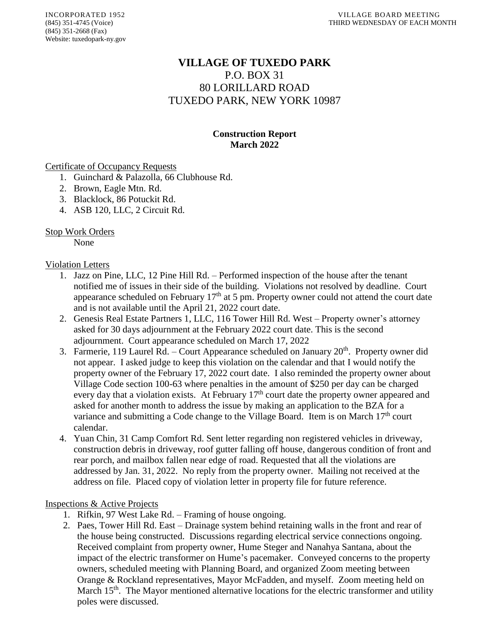# **VILLAGE OF TUXEDO PARK** P.O. BOX 31 80 LORILLARD ROAD TUXEDO PARK, NEW YORK 10987

### **Construction Report March 2022**

#### Certificate of Occupancy Requests

- 1. Guinchard & Palazolla, 66 Clubhouse Rd.
- 2. Brown, Eagle Mtn. Rd.
- 3. Blacklock, 86 Potuckit Rd.
- 4. ASB 120, LLC, 2 Circuit Rd.

#### Stop Work Orders

None

#### Violation Letters

- 1. Jazz on Pine, LLC, 12 Pine Hill Rd. Performed inspection of the house after the tenant notified me of issues in their side of the building. Violations not resolved by deadline. Court appearance scheduled on February  $17<sup>th</sup>$  at 5 pm. Property owner could not attend the court date and is not available until the April 21, 2022 court date.
- 2. Genesis Real Estate Partners 1, LLC, 116 Tower Hill Rd. West Property owner's attorney asked for 30 days adjournment at the February 2022 court date. This is the second adjournment. Court appearance scheduled on March 17, 2022
- 3. Farmerie, 119 Laurel Rd. Court Appearance scheduled on January 20<sup>th</sup>. Property owner did not appear. I asked judge to keep this violation on the calendar and that I would notify the property owner of the February 17, 2022 court date. I also reminded the property owner about Village Code section 100-63 where penalties in the amount of \$250 per day can be charged every day that a violation exists. At February  $17<sup>th</sup>$  court date the property owner appeared and asked for another month to address the issue by making an application to the BZA for a variance and submitting a Code change to the Village Board. Item is on March  $17<sup>th</sup>$  court calendar.
- 4. Yuan Chin, 31 Camp Comfort Rd. Sent letter regarding non registered vehicles in driveway, construction debris in driveway, roof gutter falling off house, dangerous condition of front and rear porch, and mailbox fallen near edge of road. Requested that all the violations are addressed by Jan. 31, 2022. No reply from the property owner. Mailing not received at the address on file. Placed copy of violation letter in property file for future reference.

#### Inspections & Active Projects

- 1. Rifkin, 97 West Lake Rd. Framing of house ongoing.
- 2. Paes, Tower Hill Rd. East Drainage system behind retaining walls in the front and rear of the house being constructed. Discussions regarding electrical service connections ongoing. Received complaint from property owner, Hume Steger and Nanahya Santana, about the impact of the electric transformer on Hume's pacemaker. Conveyed concerns to the property owners, scheduled meeting with Planning Board, and organized Zoom meeting between Orange & Rockland representatives, Mayor McFadden, and myself. Zoom meeting held on March  $15<sup>th</sup>$ . The Mayor mentioned alternative locations for the electric transformer and utility poles were discussed.